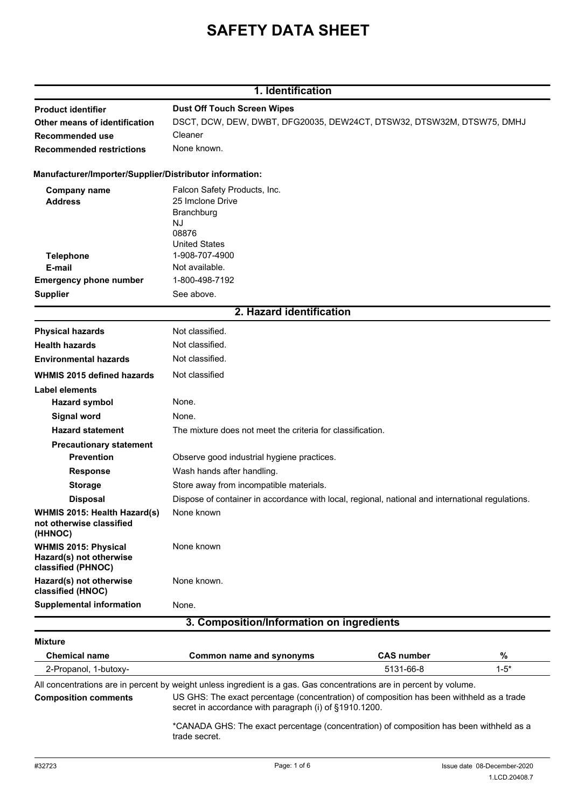# **SAFETY DATA SHEET**

|                                                                              | 1. Identification                                                                                |
|------------------------------------------------------------------------------|--------------------------------------------------------------------------------------------------|
| <b>Product identifier</b>                                                    | <b>Dust Off Touch Screen Wipes</b>                                                               |
| Other means of identification                                                | DSCT, DCW, DEW, DWBT, DFG20035, DEW24CT, DTSW32, DTSW32M, DTSW75, DMHJ                           |
| Recommended use                                                              | Cleaner                                                                                          |
| <b>Recommended restrictions</b>                                              | None known.                                                                                      |
| Manufacturer/Importer/Supplier/Distributor information:                      |                                                                                                  |
| <b>Company name</b>                                                          | Falcon Safety Products, Inc.                                                                     |
| <b>Address</b>                                                               | 25 Imclone Drive                                                                                 |
|                                                                              | Branchburg                                                                                       |
|                                                                              | NJ                                                                                               |
|                                                                              | 08876<br><b>United States</b>                                                                    |
| <b>Telephone</b>                                                             | 1-908-707-4900                                                                                   |
| E-mail                                                                       | Not available.                                                                                   |
| <b>Emergency phone number</b>                                                | 1-800-498-7192                                                                                   |
| <b>Supplier</b>                                                              | See above.                                                                                       |
|                                                                              | 2. Hazard identification                                                                         |
| <b>Physical hazards</b>                                                      | Not classified.                                                                                  |
| <b>Health hazards</b>                                                        | Not classified.                                                                                  |
| <b>Environmental hazards</b>                                                 | Not classified.                                                                                  |
| <b>WHMIS 2015 defined hazards</b>                                            | Not classified                                                                                   |
| Label elements                                                               |                                                                                                  |
| <b>Hazard symbol</b>                                                         | None.                                                                                            |
| <b>Signal word</b>                                                           | None.                                                                                            |
| <b>Hazard statement</b>                                                      | The mixture does not meet the criteria for classification.                                       |
| <b>Precautionary statement</b>                                               |                                                                                                  |
| <b>Prevention</b>                                                            | Observe good industrial hygiene practices.                                                       |
| <b>Response</b>                                                              | Wash hands after handling.                                                                       |
| <b>Storage</b>                                                               | Store away from incompatible materials.                                                          |
| <b>Disposal</b>                                                              | Dispose of container in accordance with local, regional, national and international regulations. |
| WHMIS 2015: Health Hazard(s)<br>not otherwise classified<br>(HHNOC)          | None known                                                                                       |
| <b>WHMIS 2015: Physical</b><br>Hazard(s) not otherwise<br>classified (PHNOC) | None known                                                                                       |
| Hazard(s) not otherwise<br>classified (HNOC)                                 | None known.                                                                                      |
| <b>Supplemental information</b>                                              | None.                                                                                            |
|                                                                              | 3. Composition/Information on ingredients                                                        |
| <b>Mixture</b>                                                               |                                                                                                  |

| 5131-66-8<br>All concentrations are in percent by weight unless ingredient is a gas. Gas concentrations are in percent by volume.                  | $1-5*$ |
|----------------------------------------------------------------------------------------------------------------------------------------------------|--------|
|                                                                                                                                                    |        |
|                                                                                                                                                    |        |
| US GHS: The exact percentage (concentration) of composition has been withheld as a trade<br>secret in accordance with paragraph (i) of §1910.1200. |        |
| *CANADA GHS: The exact percentage (concentration) of composition has been withheld as a                                                            |        |
|                                                                                                                                                    |        |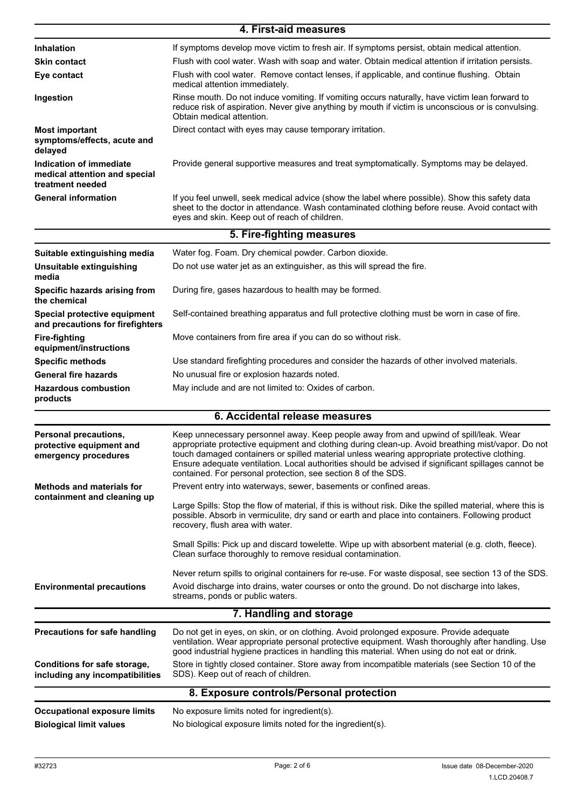|                                                                                  | 4. First-aid measures                                                                                                                                                                                                                                                                                                                                                                                                                                              |
|----------------------------------------------------------------------------------|--------------------------------------------------------------------------------------------------------------------------------------------------------------------------------------------------------------------------------------------------------------------------------------------------------------------------------------------------------------------------------------------------------------------------------------------------------------------|
| <b>Inhalation</b>                                                                | If symptoms develop move victim to fresh air. If symptoms persist, obtain medical attention.                                                                                                                                                                                                                                                                                                                                                                       |
| <b>Skin contact</b>                                                              | Flush with cool water. Wash with soap and water. Obtain medical attention if irritation persists.                                                                                                                                                                                                                                                                                                                                                                  |
| Eye contact                                                                      | Flush with cool water. Remove contact lenses, if applicable, and continue flushing. Obtain<br>medical attention immediately.                                                                                                                                                                                                                                                                                                                                       |
| Ingestion                                                                        | Rinse mouth. Do not induce vomiting. If vomiting occurs naturally, have victim lean forward to<br>reduce risk of aspiration. Never give anything by mouth if victim is unconscious or is convulsing.<br>Obtain medical attention.                                                                                                                                                                                                                                  |
| <b>Most important</b><br>symptoms/effects, acute and<br>delayed                  | Direct contact with eyes may cause temporary irritation.                                                                                                                                                                                                                                                                                                                                                                                                           |
| Indication of immediate<br>medical attention and special<br>treatment needed     | Provide general supportive measures and treat symptomatically. Symptoms may be delayed.                                                                                                                                                                                                                                                                                                                                                                            |
| <b>General information</b>                                                       | If you feel unwell, seek medical advice (show the label where possible). Show this safety data<br>sheet to the doctor in attendance. Wash contaminated clothing before reuse. Avoid contact with<br>eyes and skin. Keep out of reach of children.                                                                                                                                                                                                                  |
|                                                                                  | 5. Fire-fighting measures                                                                                                                                                                                                                                                                                                                                                                                                                                          |
| Suitable extinguishing media                                                     | Water fog. Foam. Dry chemical powder. Carbon dioxide.                                                                                                                                                                                                                                                                                                                                                                                                              |
| Unsuitable extinguishing<br>media                                                | Do not use water jet as an extinguisher, as this will spread the fire.                                                                                                                                                                                                                                                                                                                                                                                             |
| Specific hazards arising from<br>the chemical                                    | During fire, gases hazardous to health may be formed.                                                                                                                                                                                                                                                                                                                                                                                                              |
| Special protective equipment<br>and precautions for firefighters                 | Self-contained breathing apparatus and full protective clothing must be worn in case of fire.                                                                                                                                                                                                                                                                                                                                                                      |
| <b>Fire-fighting</b><br>equipment/instructions                                   | Move containers from fire area if you can do so without risk.                                                                                                                                                                                                                                                                                                                                                                                                      |
| <b>Specific methods</b>                                                          | Use standard firefighting procedures and consider the hazards of other involved materials.                                                                                                                                                                                                                                                                                                                                                                         |
| <b>General fire hazards</b>                                                      | No unusual fire or explosion hazards noted.                                                                                                                                                                                                                                                                                                                                                                                                                        |
| <b>Hazardous combustion</b><br>products                                          | May include and are not limited to: Oxides of carbon.                                                                                                                                                                                                                                                                                                                                                                                                              |
|                                                                                  | 6. Accidental release measures                                                                                                                                                                                                                                                                                                                                                                                                                                     |
| <b>Personal precautions,</b><br>protective equipment and<br>emergency procedures | Keep unnecessary personnel away. Keep people away from and upwind of spill/leak. Wear<br>appropriate protective equipment and clothing during clean-up. Avoid breathing mist/vapor. Do not<br>touch damaged containers or spilled material unless wearing appropriate protective clothing.<br>Ensure adequate ventilation. Local authorities should be advised if significant spillages cannot be<br>contained. For personal protection, see section 8 of the SDS. |
| <b>Methods and materials for</b>                                                 | Prevent entry into waterways, sewer, basements or confined areas.                                                                                                                                                                                                                                                                                                                                                                                                  |
| containment and cleaning up                                                      | Large Spills: Stop the flow of material, if this is without risk. Dike the spilled material, where this is<br>possible. Absorb in vermiculite, dry sand or earth and place into containers. Following product<br>recovery, flush area with water.                                                                                                                                                                                                                  |
|                                                                                  | Small Spills: Pick up and discard towelette. Wipe up with absorbent material (e.g. cloth, fleece).<br>Clean surface thoroughly to remove residual contamination.                                                                                                                                                                                                                                                                                                   |
| <b>Environmental precautions</b>                                                 | Never return spills to original containers for re-use. For waste disposal, see section 13 of the SDS.<br>Avoid discharge into drains, water courses or onto the ground. Do not discharge into lakes,<br>streams, ponds or public waters.                                                                                                                                                                                                                           |
|                                                                                  | 7. Handling and storage                                                                                                                                                                                                                                                                                                                                                                                                                                            |
| Precautions for safe handling                                                    | Do not get in eyes, on skin, or on clothing. Avoid prolonged exposure. Provide adequate<br>ventilation. Wear appropriate personal protective equipment. Wash thoroughly after handling. Use<br>good industrial hygiene practices in handling this material. When using do not eat or drink.                                                                                                                                                                        |
| Conditions for safe storage,<br>including any incompatibilities                  | Store in tightly closed container. Store away from incompatible materials (see Section 10 of the<br>SDS). Keep out of reach of children.                                                                                                                                                                                                                                                                                                                           |
|                                                                                  | 8. Exposure controls/Personal protection                                                                                                                                                                                                                                                                                                                                                                                                                           |
| <b>Occupational exposure limits</b>                                              | No exposure limits noted for ingredient(s).                                                                                                                                                                                                                                                                                                                                                                                                                        |
| <b>Biological limit values</b>                                                   | No biological exposure limits noted for the ingredient(s).                                                                                                                                                                                                                                                                                                                                                                                                         |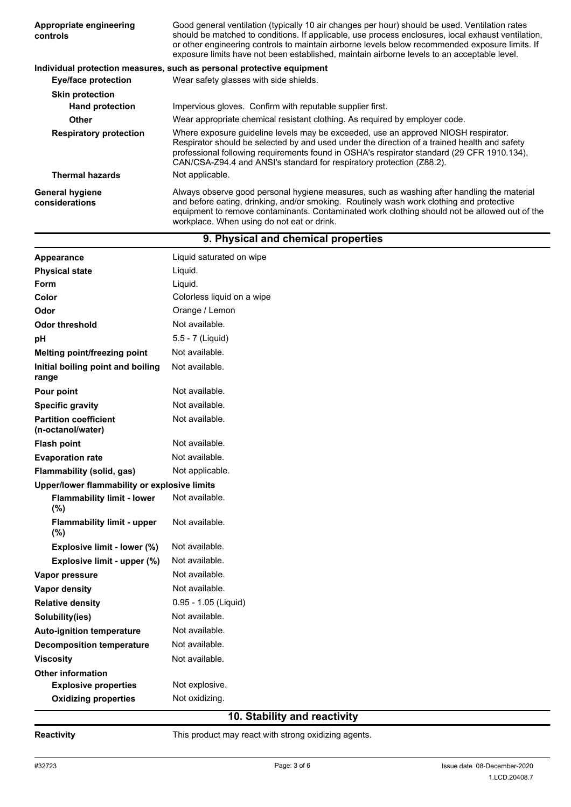| Appropriate engineering<br>controls      | Good general ventilation (typically 10 air changes per hour) should be used. Ventilation rates<br>should be matched to conditions. If applicable, use process enclosures, local exhaust ventilation,<br>or other engineering controls to maintain airborne levels below recommended exposure limits. If<br>exposure limits have not been established, maintain airborne levels to an acceptable level. |
|------------------------------------------|--------------------------------------------------------------------------------------------------------------------------------------------------------------------------------------------------------------------------------------------------------------------------------------------------------------------------------------------------------------------------------------------------------|
|                                          | Individual protection measures, such as personal protective equipment                                                                                                                                                                                                                                                                                                                                  |
| <b>Eye/face protection</b>               | Wear safety glasses with side shields.                                                                                                                                                                                                                                                                                                                                                                 |
| <b>Skin protection</b>                   |                                                                                                                                                                                                                                                                                                                                                                                                        |
| <b>Hand protection</b>                   | Impervious gloves. Confirm with reputable supplier first.                                                                                                                                                                                                                                                                                                                                              |
| Other                                    | Wear appropriate chemical resistant clothing. As required by employer code.                                                                                                                                                                                                                                                                                                                            |
| <b>Respiratory protection</b>            | Where exposure guideline levels may be exceeded, use an approved NIOSH respirator.<br>Respirator should be selected by and used under the direction of a trained health and safety<br>professional following requirements found in OSHA's respirator standard (29 CFR 1910.134),<br>CAN/CSA-Z94.4 and ANSI's standard for respiratory protection (Z88.2).                                              |
| <b>Thermal hazards</b>                   | Not applicable.                                                                                                                                                                                                                                                                                                                                                                                        |
| <b>General hygiene</b><br>considerations | Always observe good personal hygiene measures, such as washing after handling the material<br>and before eating, drinking, and/or smoking. Routinely wash work clothing and protective<br>equipment to remove contaminants. Contaminated work clothing should not be allowed out of the<br>workplace. When using do not eat or drink.                                                                  |

**9. Physical and chemical properties**

| <b>Appearance</b>                                 | Liquid saturated on wipe   |
|---------------------------------------------------|----------------------------|
| <b>Physical state</b>                             | Liquid.                    |
| Form                                              | Liquid.                    |
| Color                                             | Colorless liquid on a wipe |
| Odor                                              | Orange / Lemon             |
| Odor threshold                                    | Not available.             |
| pН                                                | 5.5 - 7 (Liquid)           |
| Melting point/freezing point                      | Not available.             |
| Initial boiling point and boiling<br>range        | Not available.             |
| Pour point                                        | Not available.             |
| <b>Specific gravity</b>                           | Not available.             |
| <b>Partition coefficient</b><br>(n-octanol/water) | Not available.             |
| <b>Flash point</b>                                | Not available.             |
| <b>Evaporation rate</b>                           | Not available.             |
| Flammability (solid, gas)                         | Not applicable.            |
| Upper/lower flammability or explosive limits      |                            |
| <b>Flammability limit - lower</b><br>(%)          | Not available.             |
| <b>Flammability limit - upper</b><br>(%)          | Not available.             |
| Explosive limit - lower (%)                       | Not available.             |
| Explosive limit - upper (%)                       | Not available.             |
| Vapor pressure                                    | Not available.             |
| Vapor density                                     | Not available.             |
| <b>Relative density</b>                           | 0.95 - 1.05 (Liquid)       |
| Solubility(ies)                                   | Not available.             |
| <b>Auto-ignition temperature</b>                  | Not available.             |
| <b>Decomposition temperature</b>                  | Not available.             |
| <b>Viscosity</b>                                  | Not available.             |
| <b>Other information</b>                          |                            |
| <b>Explosive properties</b>                       | Not explosive.             |

## **10. Stability and reactivity**

**Oxidizing properties** Not oxidizing.

**Reactivity Reactivity Reactivity Reactivity Reactivity Reactivity Reactivity Reactivity Reactivity Reactivity Reactivity Reactivity Reactivity Reactivity Reactivity Reactivity Reactivity**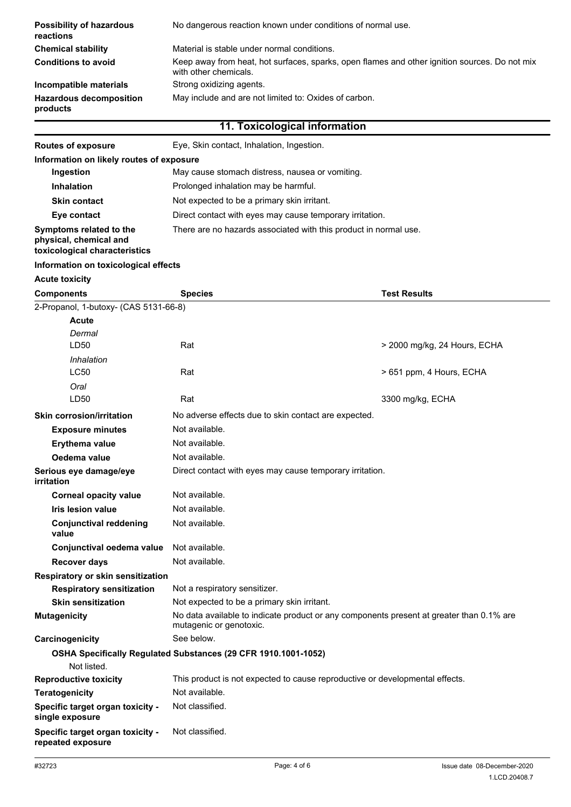| <b>Possibility of hazardous</b><br>reactions | No dangerous reaction known under conditions of normal use.                                                            |
|----------------------------------------------|------------------------------------------------------------------------------------------------------------------------|
| <b>Chemical stability</b>                    | Material is stable under normal conditions.                                                                            |
| <b>Conditions to avoid</b>                   | Keep away from heat, hot surfaces, sparks, open flames and other ignition sources. Do not mix<br>with other chemicals. |
| Incompatible materials                       | Strong oxidizing agents.                                                                                               |
| <b>Hazardous decomposition</b><br>products   | May include and are not limited to: Oxides of carbon.                                                                  |

## **11. Toxicological information**

| <b>Routes of exposure</b>                                                          | Eye, Skin contact, Inhalation, Ingestion.                        |
|------------------------------------------------------------------------------------|------------------------------------------------------------------|
| Information on likely routes of exposure                                           |                                                                  |
| Ingestion                                                                          | May cause stomach distress, nausea or vomiting.                  |
| <b>Inhalation</b>                                                                  | Prolonged inhalation may be harmful.                             |
| <b>Skin contact</b>                                                                | Not expected to be a primary skin irritant.                      |
| Eye contact                                                                        | Direct contact with eyes may cause temporary irritation.         |
| Symptoms related to the<br>physical, chemical and<br>toxicological characteristics | There are no hazards associated with this product in normal use. |
| Information on toxicological effects                                               |                                                                  |

#### **Acute toxicity**

| <b>Components</b>                                     | <b>Species</b>                                                                                                      | <b>Test Results</b>          |
|-------------------------------------------------------|---------------------------------------------------------------------------------------------------------------------|------------------------------|
| 2-Propanol, 1-butoxy- (CAS 5131-66-8)                 |                                                                                                                     |                              |
| <b>Acute</b>                                          |                                                                                                                     |                              |
| Dermal                                                |                                                                                                                     |                              |
| LD50                                                  | Rat                                                                                                                 | > 2000 mg/kg, 24 Hours, ECHA |
| Inhalation                                            |                                                                                                                     |                              |
| <b>LC50</b>                                           | Rat                                                                                                                 | > 651 ppm, 4 Hours, ECHA     |
| Oral                                                  |                                                                                                                     |                              |
| LD50                                                  | Rat                                                                                                                 | 3300 mg/kg, ECHA             |
| <b>Skin corrosion/irritation</b>                      | No adverse effects due to skin contact are expected.                                                                |                              |
| <b>Exposure minutes</b>                               | Not available.                                                                                                      |                              |
| <b>Erythema value</b>                                 | Not available.                                                                                                      |                              |
| Oedema value                                          | Not available.                                                                                                      |                              |
| Serious eye damage/eye<br>irritation                  | Direct contact with eyes may cause temporary irritation.                                                            |                              |
| <b>Corneal opacity value</b>                          | Not available.                                                                                                      |                              |
| Iris lesion value                                     | Not available.                                                                                                      |                              |
| <b>Conjunctival reddening</b><br>value                | Not available.                                                                                                      |                              |
| Conjunctival oedema value                             | Not available.                                                                                                      |                              |
| <b>Recover days</b>                                   | Not available.                                                                                                      |                              |
| Respiratory or skin sensitization                     |                                                                                                                     |                              |
| <b>Respiratory sensitization</b>                      | Not a respiratory sensitizer.                                                                                       |                              |
| <b>Skin sensitization</b>                             | Not expected to be a primary skin irritant.                                                                         |                              |
| <b>Mutagenicity</b>                                   | No data available to indicate product or any components present at greater than 0.1% are<br>mutagenic or genotoxic. |                              |
| Carcinogenicity                                       | See below.                                                                                                          |                              |
| Not listed.                                           | OSHA Specifically Regulated Substances (29 CFR 1910.1001-1052)                                                      |                              |
| <b>Reproductive toxicity</b>                          | This product is not expected to cause reproductive or developmental effects.                                        |                              |
| <b>Teratogenicity</b>                                 | Not available.                                                                                                      |                              |
| Specific target organ toxicity -<br>single exposure   | Not classified.                                                                                                     |                              |
| Specific target organ toxicity -<br>repeated exposure | Not classified.                                                                                                     |                              |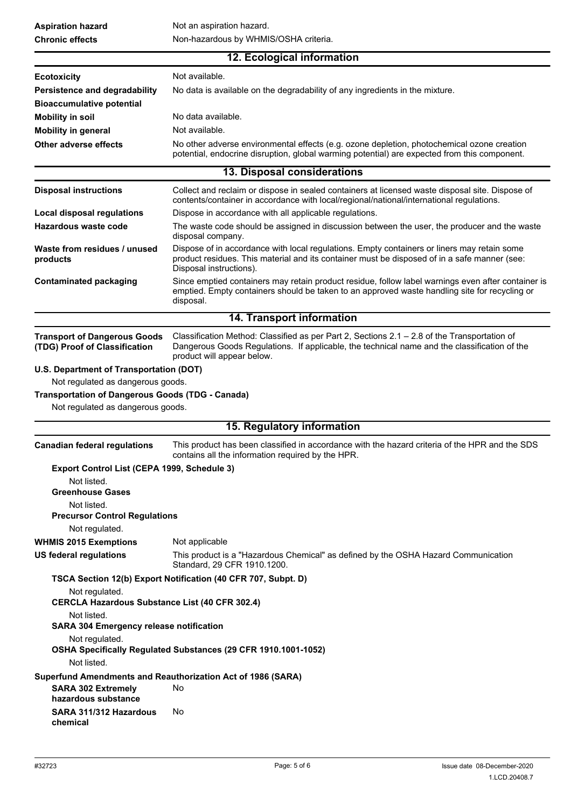| <b>Aspiration hazard</b>                                                                     | Not an aspiration hazard.                                                                                                                                                                                                  |  |  |
|----------------------------------------------------------------------------------------------|----------------------------------------------------------------------------------------------------------------------------------------------------------------------------------------------------------------------------|--|--|
| <b>Chronic effects</b>                                                                       | Non-hazardous by WHMIS/OSHA criteria.                                                                                                                                                                                      |  |  |
|                                                                                              | 12. Ecological information                                                                                                                                                                                                 |  |  |
| <b>Ecotoxicity</b>                                                                           | Not available.                                                                                                                                                                                                             |  |  |
| <b>Persistence and degradability</b>                                                         | No data is available on the degradability of any ingredients in the mixture.                                                                                                                                               |  |  |
| <b>Bioaccumulative potential</b>                                                             |                                                                                                                                                                                                                            |  |  |
| <b>Mobility in soil</b>                                                                      | No data available.                                                                                                                                                                                                         |  |  |
| <b>Mobility in general</b>                                                                   | Not available.                                                                                                                                                                                                             |  |  |
| <b>Other adverse effects</b>                                                                 | No other adverse environmental effects (e.g. ozone depletion, photochemical ozone creation<br>potential, endocrine disruption, global warming potential) are expected from this component.                                 |  |  |
|                                                                                              | 13. Disposal considerations                                                                                                                                                                                                |  |  |
| <b>Disposal instructions</b>                                                                 | Collect and reclaim or dispose in sealed containers at licensed waste disposal site. Dispose of                                                                                                                            |  |  |
|                                                                                              | contents/container in accordance with local/regional/national/international regulations.                                                                                                                                   |  |  |
| <b>Local disposal regulations</b>                                                            | Dispose in accordance with all applicable regulations.                                                                                                                                                                     |  |  |
| <b>Hazardous waste code</b>                                                                  | The waste code should be assigned in discussion between the user, the producer and the waste<br>disposal company.                                                                                                          |  |  |
| Waste from residues / unused<br>products                                                     | Dispose of in accordance with local regulations. Empty containers or liners may retain some<br>product residues. This material and its container must be disposed of in a safe manner (see:<br>Disposal instructions).     |  |  |
| <b>Contaminated packaging</b>                                                                | Since emptied containers may retain product residue, follow label warnings even after container is<br>emptied. Empty containers should be taken to an approved waste handling site for recycling or<br>disposal.           |  |  |
| 14. Transport information                                                                    |                                                                                                                                                                                                                            |  |  |
| <b>Transport of Dangerous Goods</b><br>(TDG) Proof of Classification                         | Classification Method: Classified as per Part 2, Sections 2.1 - 2.8 of the Transportation of<br>Dangerous Goods Regulations. If applicable, the technical name and the classification of the<br>product will appear below. |  |  |
| <b>Transportation of Dangerous Goods (TDG - Canada)</b><br>Not regulated as dangerous goods. |                                                                                                                                                                                                                            |  |  |
|                                                                                              | 15. Regulatory information                                                                                                                                                                                                 |  |  |
| <b>Canadian federal regulations</b>                                                          | This product has been classified in accordance with the hazard criteria of the HPR and the SDS<br>contains all the information required by the HPR.                                                                        |  |  |
| Export Control List (CEPA 1999, Schedule 3)                                                  |                                                                                                                                                                                                                            |  |  |
| Not listed.                                                                                  |                                                                                                                                                                                                                            |  |  |
| <b>Greenhouse Gases</b>                                                                      |                                                                                                                                                                                                                            |  |  |
| Not listed.<br><b>Precursor Control Regulations</b>                                          |                                                                                                                                                                                                                            |  |  |
| Not regulated.                                                                               |                                                                                                                                                                                                                            |  |  |
| <b>WHMIS 2015 Exemptions</b>                                                                 | Not applicable                                                                                                                                                                                                             |  |  |
| <b>US federal regulations</b>                                                                | This product is a "Hazardous Chemical" as defined by the OSHA Hazard Communication<br>Standard, 29 CFR 1910.1200.                                                                                                          |  |  |
|                                                                                              | TSCA Section 12(b) Export Notification (40 CFR 707, Subpt. D)                                                                                                                                                              |  |  |
| Not regulated.                                                                               |                                                                                                                                                                                                                            |  |  |
| <b>CERCLA Hazardous Substance List (40 CFR 302.4)</b>                                        |                                                                                                                                                                                                                            |  |  |
| Not listed.<br><b>SARA 304 Emergency release notification</b>                                |                                                                                                                                                                                                                            |  |  |
| Not regulated.                                                                               |                                                                                                                                                                                                                            |  |  |
| Not listed.                                                                                  | OSHA Specifically Regulated Substances (29 CFR 1910.1001-1052)                                                                                                                                                             |  |  |
|                                                                                              | Superfund Amendments and Reauthorization Act of 1986 (SARA)                                                                                                                                                                |  |  |
| <b>SARA 302 Extremely</b><br>hazardous substance                                             | No                                                                                                                                                                                                                         |  |  |
| SARA 311/312 Hazardous<br>chemical                                                           | No.                                                                                                                                                                                                                        |  |  |